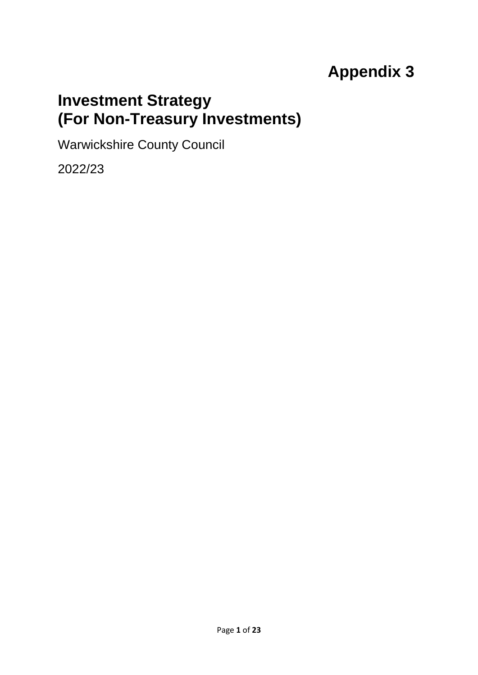# **Appendix 3**

# **Investment Strategy (For Non-Treasury Investments)**

Warwickshire County Council

2022/23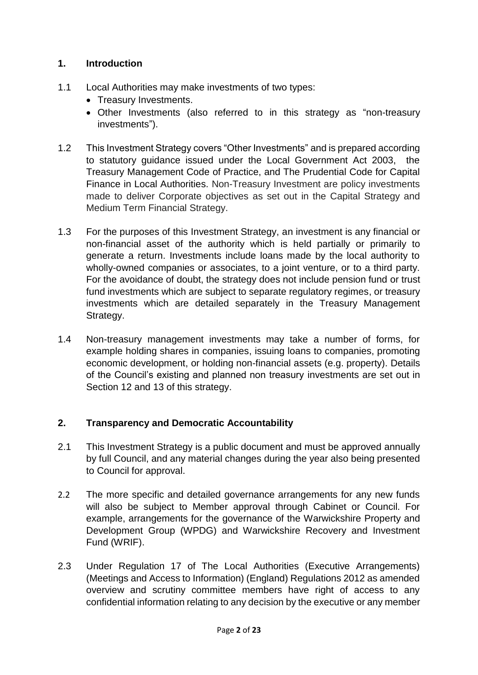## **1. Introduction**

- 1.1 Local Authorities may make investments of two types:
	- Treasury Investments.
	- Other Investments (also referred to in this strategy as "non-treasury investments").
- 1.2 This Investment Strategy covers "Other Investments" and is prepared according to statutory guidance issued under the Local Government Act 2003, the Treasury Management Code of Practice, and The Prudential Code for Capital Finance in Local Authorities. Non-Treasury Investment are policy investments made to deliver Corporate objectives as set out in the Capital Strategy and Medium Term Financial Strategy.
- 1.3 For the purposes of this Investment Strategy, an investment is any financial or non-financial asset of the authority which is held partially or primarily to generate a return. Investments include loans made by the local authority to wholly-owned companies or associates, to a joint venture, or to a third party. For the avoidance of doubt, the strategy does not include pension fund or trust fund investments which are subject to separate regulatory regimes, or treasury investments which are detailed separately in the Treasury Management Strategy.
- 1.4 Non-treasury management investments may take a number of forms, for example holding shares in companies, issuing loans to companies, promoting economic development, or holding non-financial assets (e.g. property). Details of the Council's existing and planned non treasury investments are set out in Section 12 and 13 of this strategy.

### **2. Transparency and Democratic Accountability**

- 2.1 This Investment Strategy is a public document and must be approved annually by full Council, and any material changes during the year also being presented to Council for approval.
- 2.2 The more specific and detailed governance arrangements for any new funds will also be subject to Member approval through Cabinet or Council. For example, arrangements for the governance of the Warwickshire Property and Development Group (WPDG) and Warwickshire Recovery and Investment Fund (WRIF).
- 2.3 Under Regulation 17 of The Local Authorities (Executive Arrangements) (Meetings and Access to Information) (England) Regulations 2012 as amended overview and scrutiny committee members have right of access to any confidential information relating to any decision by the executive or any member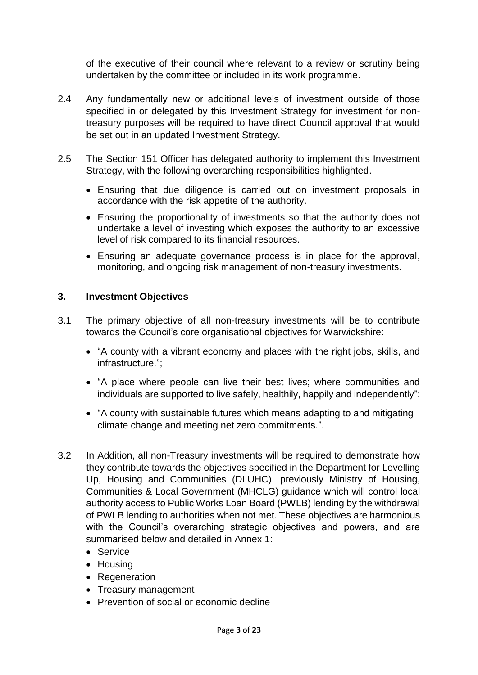of the executive of their council where relevant to a review or scrutiny being undertaken by the committee or included in its work programme.

- 2.4 Any fundamentally new or additional levels of investment outside of those specified in or delegated by this Investment Strategy for investment for nontreasury purposes will be required to have direct Council approval that would be set out in an updated Investment Strategy.
- 2.5 The Section 151 Officer has delegated authority to implement this Investment Strategy, with the following overarching responsibilities highlighted.
	- Ensuring that due diligence is carried out on investment proposals in accordance with the risk appetite of the authority.
	- Ensuring the proportionality of investments so that the authority does not undertake a level of investing which exposes the authority to an excessive level of risk compared to its financial resources.
	- Ensuring an adequate governance process is in place for the approval, monitoring, and ongoing risk management of non-treasury investments.

#### **3. Investment Objectives**

- 3.1 The primary objective of all non-treasury investments will be to contribute towards the Council's core organisational objectives for Warwickshire:
	- "A county with a vibrant economy and places with the right jobs, skills, and infrastructure.";
	- "A place where people can live their best lives; where communities and individuals are supported to live safely, healthily, happily and independently":
	- "A county with sustainable futures which means adapting to and mitigating climate change and meeting net zero commitments.".
- 3.2 In Addition, all non-Treasury investments will be required to demonstrate how they contribute towards the objectives specified in the Department for Levelling Up, Housing and Communities (DLUHC), previously Ministry of Housing, Communities & Local Government (MHCLG) guidance which will control local authority access to Public Works Loan Board (PWLB) lending by the withdrawal of PWLB lending to authorities when not met. These objectives are harmonious with the Council's overarching strategic objectives and powers, and are summarised below and detailed in Annex 1:
	- Service
	- Housing
	- Regeneration
	- Treasury management
	- Prevention of social or economic decline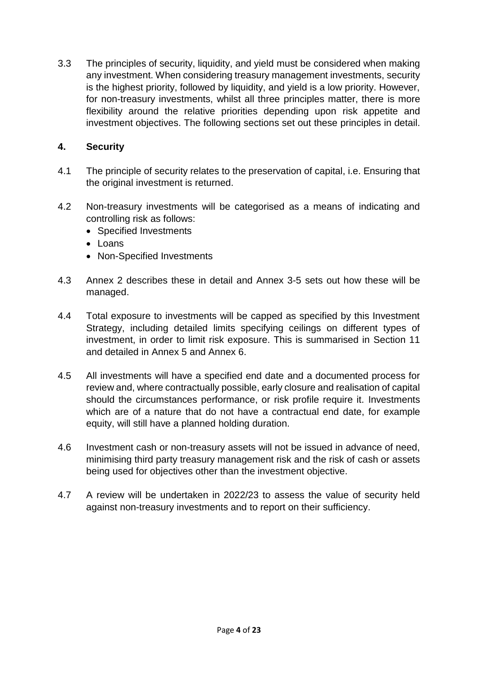3.3 The principles of security, liquidity, and yield must be considered when making any investment. When considering treasury management investments, security is the highest priority, followed by liquidity, and yield is a low priority. However, for non-treasury investments, whilst all three principles matter, there is more flexibility around the relative priorities depending upon risk appetite and investment objectives. The following sections set out these principles in detail.

## **4. Security**

- 4.1 The principle of security relates to the preservation of capital, i.e. Ensuring that the original investment is returned.
- 4.2 Non-treasury investments will be categorised as a means of indicating and controlling risk as follows:
	- Specified Investments
	- Loans
	- Non-Specified Investments
- 4.3 Annex 2 describes these in detail and Annex 3-5 sets out how these will be managed.
- 4.4 Total exposure to investments will be capped as specified by this Investment Strategy, including detailed limits specifying ceilings on different types of investment, in order to limit risk exposure. This is summarised in Section 11 and detailed in Annex 5 and Annex 6.
- 4.5 All investments will have a specified end date and a documented process for review and, where contractually possible, early closure and realisation of capital should the circumstances performance, or risk profile require it. Investments which are of a nature that do not have a contractual end date, for example equity, will still have a planned holding duration.
- 4.6 Investment cash or non-treasury assets will not be issued in advance of need, minimising third party treasury management risk and the risk of cash or assets being used for objectives other than the investment objective.
- 4.7 A review will be undertaken in 2022/23 to assess the value of security held against non-treasury investments and to report on their sufficiency.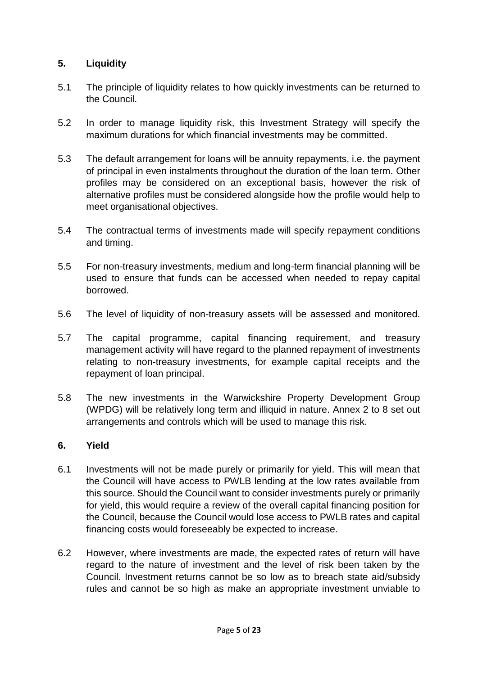## **5. Liquidity**

- 5.1 The principle of liquidity relates to how quickly investments can be returned to the Council.
- 5.2 In order to manage liquidity risk, this Investment Strategy will specify the maximum durations for which financial investments may be committed.
- 5.3 The default arrangement for loans will be annuity repayments, i.e. the payment of principal in even instalments throughout the duration of the loan term. Other profiles may be considered on an exceptional basis, however the risk of alternative profiles must be considered alongside how the profile would help to meet organisational objectives.
- 5.4 The contractual terms of investments made will specify repayment conditions and timing.
- 5.5 For non-treasury investments, medium and long-term financial planning will be used to ensure that funds can be accessed when needed to repay capital borrowed.
- 5.6 The level of liquidity of non-treasury assets will be assessed and monitored.
- 5.7 The capital programme, capital financing requirement, and treasury management activity will have regard to the planned repayment of investments relating to non-treasury investments, for example capital receipts and the repayment of loan principal.
- 5.8 The new investments in the Warwickshire Property Development Group (WPDG) will be relatively long term and illiquid in nature. Annex 2 to 8 set out arrangements and controls which will be used to manage this risk.

### **6. Yield**

- 6.1 Investments will not be made purely or primarily for yield. This will mean that the Council will have access to PWLB lending at the low rates available from this source. Should the Council want to consider investments purely or primarily for yield, this would require a review of the overall capital financing position for the Council, because the Council would lose access to PWLB rates and capital financing costs would foreseeably be expected to increase.
- 6.2 However, where investments are made, the expected rates of return will have regard to the nature of investment and the level of risk been taken by the Council. Investment returns cannot be so low as to breach state aid/subsidy rules and cannot be so high as make an appropriate investment unviable to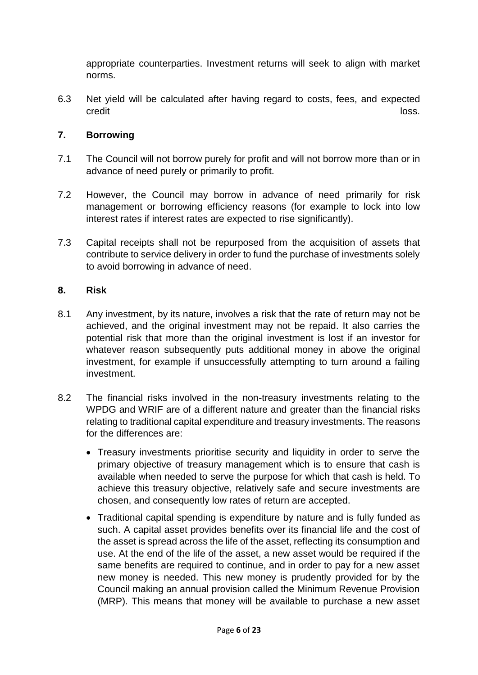appropriate counterparties. Investment returns will seek to align with market norms.

6.3 Net yield will be calculated after having regard to costs, fees, and expected credit and the contract of the contract of the contract of the contract of the contract of the contract of the

### **7. Borrowing**

- 7.1 The Council will not borrow purely for profit and will not borrow more than or in advance of need purely or primarily to profit.
- 7.2 However, the Council may borrow in advance of need primarily for risk management or borrowing efficiency reasons (for example to lock into low interest rates if interest rates are expected to rise significantly).
- 7.3 Capital receipts shall not be repurposed from the acquisition of assets that contribute to service delivery in order to fund the purchase of investments solely to avoid borrowing in advance of need.

### **8. Risk**

- 8.1 Any investment, by its nature, involves a risk that the rate of return may not be achieved, and the original investment may not be repaid. It also carries the potential risk that more than the original investment is lost if an investor for whatever reason subsequently puts additional money in above the original investment, for example if unsuccessfully attempting to turn around a failing investment.
- 8.2 The financial risks involved in the non-treasury investments relating to the WPDG and WRIF are of a different nature and greater than the financial risks relating to traditional capital expenditure and treasury investments. The reasons for the differences are:
	- Treasury investments prioritise security and liquidity in order to serve the primary objective of treasury management which is to ensure that cash is available when needed to serve the purpose for which that cash is held. To achieve this treasury objective, relatively safe and secure investments are chosen, and consequently low rates of return are accepted.
	- Traditional capital spending is expenditure by nature and is fully funded as such. A capital asset provides benefits over its financial life and the cost of the asset is spread across the life of the asset, reflecting its consumption and use. At the end of the life of the asset, a new asset would be required if the same benefits are required to continue, and in order to pay for a new asset new money is needed. This new money is prudently provided for by the Council making an annual provision called the Minimum Revenue Provision (MRP). This means that money will be available to purchase a new asset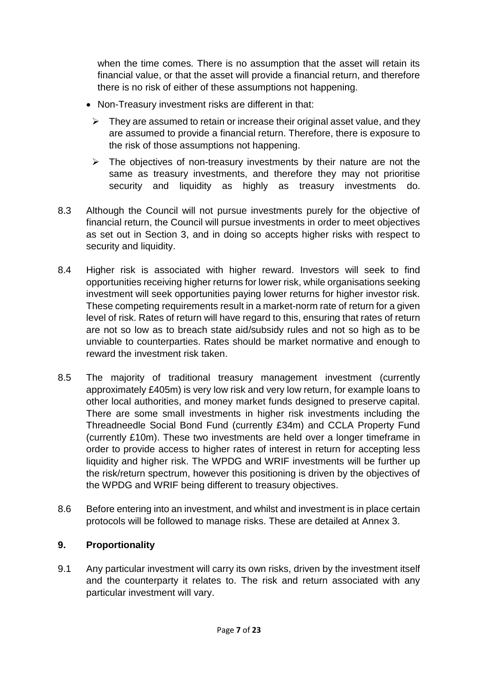when the time comes. There is no assumption that the asset will retain its financial value, or that the asset will provide a financial return, and therefore there is no risk of either of these assumptions not happening.

- Non-Treasury investment risks are different in that:
	- $\triangleright$  They are assumed to retain or increase their original asset value, and they are assumed to provide a financial return. Therefore, there is exposure to the risk of those assumptions not happening.
	- $\triangleright$  The objectives of non-treasury investments by their nature are not the same as treasury investments, and therefore they may not prioritise security and liquidity as highly as treasury investments do.
- 8.3 Although the Council will not pursue investments purely for the objective of financial return, the Council will pursue investments in order to meet objectives as set out in Section 3, and in doing so accepts higher risks with respect to security and liquidity.
- 8.4 Higher risk is associated with higher reward. Investors will seek to find opportunities receiving higher returns for lower risk, while organisations seeking investment will seek opportunities paying lower returns for higher investor risk. These competing requirements result in a market-norm rate of return for a given level of risk. Rates of return will have regard to this, ensuring that rates of return are not so low as to breach state aid/subsidy rules and not so high as to be unviable to counterparties. Rates should be market normative and enough to reward the investment risk taken.
- 8.5 The majority of traditional treasury management investment (currently approximately £405m) is very low risk and very low return, for example loans to other local authorities, and money market funds designed to preserve capital. There are some small investments in higher risk investments including the Threadneedle Social Bond Fund (currently £34m) and CCLA Property Fund (currently £10m). These two investments are held over a longer timeframe in order to provide access to higher rates of interest in return for accepting less liquidity and higher risk. The WPDG and WRIF investments will be further up the risk/return spectrum, however this positioning is driven by the objectives of the WPDG and WRIF being different to treasury objectives.
- 8.6 Before entering into an investment, and whilst and investment is in place certain protocols will be followed to manage risks. These are detailed at Annex 3.

## **9. Proportionality**

9.1 Any particular investment will carry its own risks, driven by the investment itself and the counterparty it relates to. The risk and return associated with any particular investment will vary.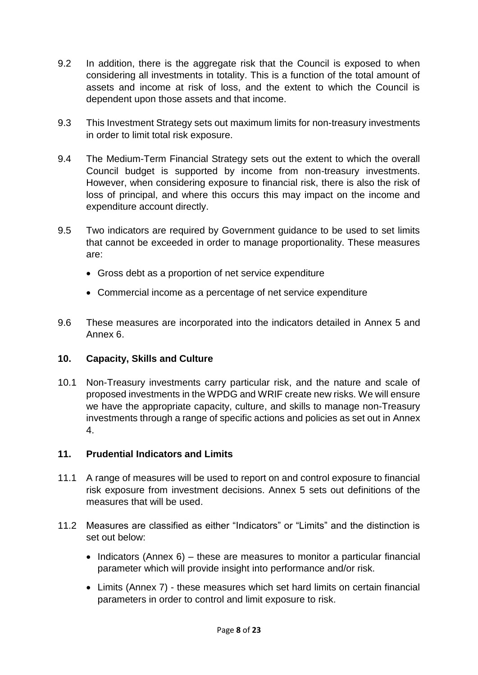- 9.2 In addition, there is the aggregate risk that the Council is exposed to when considering all investments in totality. This is a function of the total amount of assets and income at risk of loss, and the extent to which the Council is dependent upon those assets and that income.
- 9.3 This Investment Strategy sets out maximum limits for non-treasury investments in order to limit total risk exposure.
- 9.4 The Medium-Term Financial Strategy sets out the extent to which the overall Council budget is supported by income from non-treasury investments. However, when considering exposure to financial risk, there is also the risk of loss of principal, and where this occurs this may impact on the income and expenditure account directly.
- 9.5 Two indicators are required by Government guidance to be used to set limits that cannot be exceeded in order to manage proportionality. These measures are:
	- Gross debt as a proportion of net service expenditure
	- Commercial income as a percentage of net service expenditure
- 9.6 These measures are incorporated into the indicators detailed in Annex 5 and Annex 6.

### **10. Capacity, Skills and Culture**

10.1 Non-Treasury investments carry particular risk, and the nature and scale of proposed investments in the WPDG and WRIF create new risks. We will ensure we have the appropriate capacity, culture, and skills to manage non-Treasury investments through a range of specific actions and policies as set out in Annex 4.

### **11. Prudential Indicators and Limits**

- 11.1 A range of measures will be used to report on and control exposure to financial risk exposure from investment decisions. Annex 5 sets out definitions of the measures that will be used.
- 11.2 Measures are classified as either "Indicators" or "Limits" and the distinction is set out below:
	- $\bullet$  Indicators (Annex 6) these are measures to monitor a particular financial parameter which will provide insight into performance and/or risk.
	- Limits (Annex 7) these measures which set hard limits on certain financial parameters in order to control and limit exposure to risk.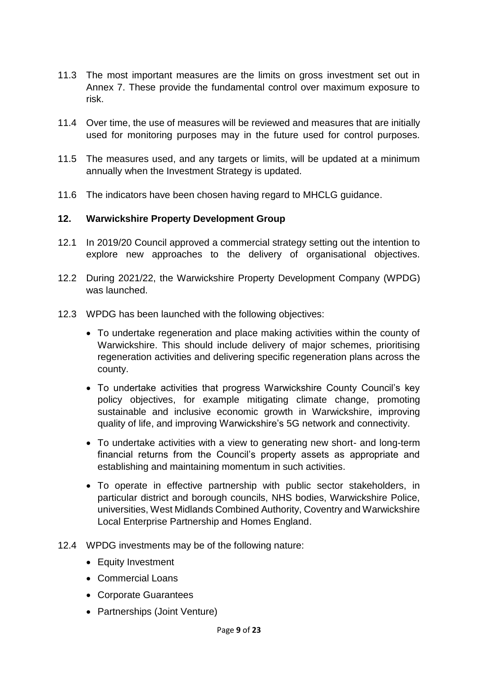- 11.3 The most important measures are the limits on gross investment set out in Annex 7. These provide the fundamental control over maximum exposure to risk.
- 11.4 Over time, the use of measures will be reviewed and measures that are initially used for monitoring purposes may in the future used for control purposes.
- 11.5 The measures used, and any targets or limits, will be updated at a minimum annually when the Investment Strategy is updated.
- 11.6 The indicators have been chosen having regard to MHCLG guidance.

#### **12. Warwickshire Property Development Group**

- 12.1 In 2019/20 Council approved a commercial strategy setting out the intention to explore new approaches to the delivery of organisational objectives.
- 12.2 During 2021/22, the Warwickshire Property Development Company (WPDG) was launched.
- 12.3 WPDG has been launched with the following objectives:
	- To undertake regeneration and place making activities within the county of Warwickshire. This should include delivery of major schemes, prioritising regeneration activities and delivering specific regeneration plans across the county.
	- To undertake activities that progress Warwickshire County Council's key policy objectives, for example mitigating climate change, promoting sustainable and inclusive economic growth in Warwickshire, improving quality of life, and improving Warwickshire's 5G network and connectivity.
	- To undertake activities with a view to generating new short- and long-term financial returns from the Council's property assets as appropriate and establishing and maintaining momentum in such activities.
	- To operate in effective partnership with public sector stakeholders, in particular district and borough councils, NHS bodies, Warwickshire Police, universities, West Midlands Combined Authority, Coventry and Warwickshire Local Enterprise Partnership and Homes England.
- 12.4 WPDG investments may be of the following nature:
	- Equity Investment
	- Commercial Loans
	- Corporate Guarantees
	- Partnerships (Joint Venture)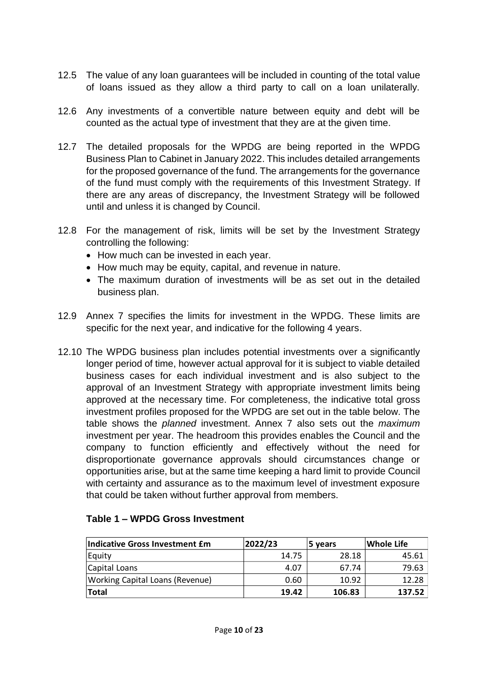- 12.5 The value of any loan guarantees will be included in counting of the total value of loans issued as they allow a third party to call on a loan unilaterally.
- 12.6 Any investments of a convertible nature between equity and debt will be counted as the actual type of investment that they are at the given time.
- 12.7 The detailed proposals for the WPDG are being reported in the WPDG Business Plan to Cabinet in January 2022. This includes detailed arrangements for the proposed governance of the fund. The arrangements for the governance of the fund must comply with the requirements of this Investment Strategy. If there are any areas of discrepancy, the Investment Strategy will be followed until and unless it is changed by Council.
- 12.8 For the management of risk, limits will be set by the Investment Strategy controlling the following:
	- How much can be invested in each year.
	- How much may be equity, capital, and revenue in nature.
	- The maximum duration of investments will be as set out in the detailed business plan.
- 12.9 Annex 7 specifies the limits for investment in the WPDG. These limits are specific for the next year, and indicative for the following 4 years.
- 12.10 The WPDG business plan includes potential investments over a significantly longer period of time, however actual approval for it is subject to viable detailed business cases for each individual investment and is also subject to the approval of an Investment Strategy with appropriate investment limits being approved at the necessary time. For completeness, the indicative total gross investment profiles proposed for the WPDG are set out in the table below. The table shows the *planned* investment. Annex 7 also sets out the *maximum* investment per year. The headroom this provides enables the Council and the company to function efficiently and effectively without the need for disproportionate governance approvals should circumstances change or opportunities arise, but at the same time keeping a hard limit to provide Council with certainty and assurance as to the maximum level of investment exposure that could be taken without further approval from members.

| Indicative Gross Investment £m  | 2022/23 | 5 years | Whole Life |  |
|---------------------------------|---------|---------|------------|--|
| Equity                          | 14.75   | 28.18   | 45.61      |  |
| Capital Loans                   | 4.07    | 67.74   | 79.63      |  |
| Working Capital Loans (Revenue) | 0.60    | 10.92   | 12.28      |  |
| <b>Total</b>                    | 19.42   | 106.83  | 137.52     |  |

#### **Table 1 – WPDG Gross Investment**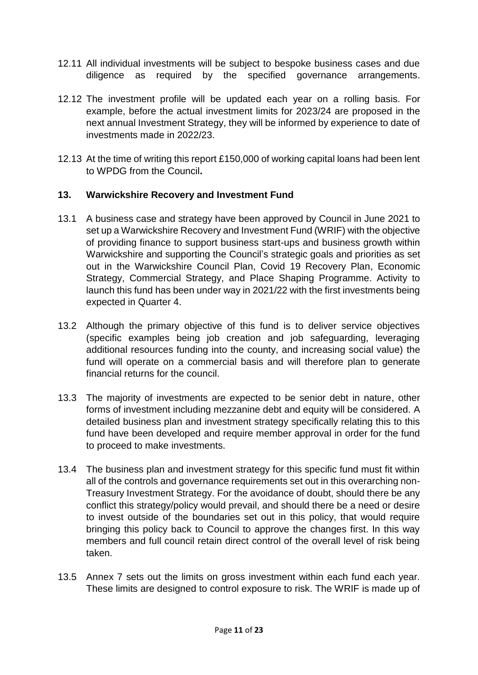- 12.11 All individual investments will be subject to bespoke business cases and due diligence as required by the specified governance arrangements.
- 12.12 The investment profile will be updated each year on a rolling basis. For example, before the actual investment limits for 2023/24 are proposed in the next annual Investment Strategy, they will be informed by experience to date of investments made in 2022/23.
- 12.13 At the time of writing this report £150,000 of working capital loans had been lent to WPDG from the Council**.**

### **13. Warwickshire Recovery and Investment Fund**

- 13.1 A business case and strategy have been approved by Council in June 2021 to set up a Warwickshire Recovery and Investment Fund (WRIF) with the objective of providing finance to support business start-ups and business growth within Warwickshire and supporting the Council's strategic goals and priorities as set out in the Warwickshire Council Plan, Covid 19 Recovery Plan, Economic Strategy, Commercial Strategy, and Place Shaping Programme. Activity to launch this fund has been under way in 2021/22 with the first investments being expected in Quarter 4.
- 13.2 Although the primary objective of this fund is to deliver service objectives (specific examples being job creation and job safeguarding, leveraging additional resources funding into the county, and increasing social value) the fund will operate on a commercial basis and will therefore plan to generate financial returns for the council.
- 13.3 The majority of investments are expected to be senior debt in nature, other forms of investment including mezzanine debt and equity will be considered. A detailed business plan and investment strategy specifically relating this to this fund have been developed and require member approval in order for the fund to proceed to make investments.
- 13.4 The business plan and investment strategy for this specific fund must fit within all of the controls and governance requirements set out in this overarching non-Treasury Investment Strategy. For the avoidance of doubt, should there be any conflict this strategy/policy would prevail, and should there be a need or desire to invest outside of the boundaries set out in this policy, that would require bringing this policy back to Council to approve the changes first. In this way members and full council retain direct control of the overall level of risk being taken.
- 13.5 Annex 7 sets out the limits on gross investment within each fund each year. These limits are designed to control exposure to risk. The WRIF is made up of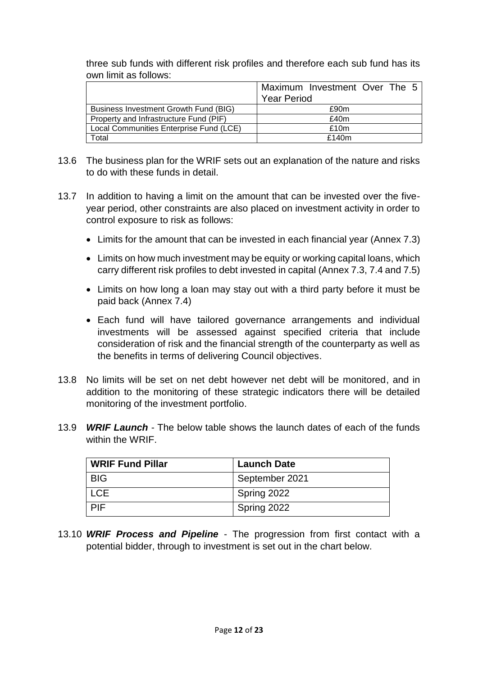three sub funds with different risk profiles and therefore each sub fund has its own limit as follows:

|                                         | Maximum Investment Over The 5 |
|-----------------------------------------|-------------------------------|
|                                         | <b>Year Period</b>            |
| Business Investment Growth Fund (BIG)   | £90m                          |
| Property and Infrastructure Fund (PIF)  | £40m                          |
| Local Communities Enterprise Fund (LCE) | £10 $m$                       |
| Total                                   | £140 $m$                      |

- 13.6 The business plan for the WRIF sets out an explanation of the nature and risks to do with these funds in detail.
- 13.7 In addition to having a limit on the amount that can be invested over the fiveyear period, other constraints are also placed on investment activity in order to control exposure to risk as follows:
	- Limits for the amount that can be invested in each financial year (Annex 7.3)
	- Limits on how much investment may be equity or working capital loans, which carry different risk profiles to debt invested in capital (Annex 7.3, 7.4 and 7.5)
	- Limits on how long a loan may stay out with a third party before it must be paid back (Annex 7.4)
	- Each fund will have tailored governance arrangements and individual investments will be assessed against specified criteria that include consideration of risk and the financial strength of the counterparty as well as the benefits in terms of delivering Council objectives.
- 13.8 No limits will be set on net debt however net debt will be monitored, and in addition to the monitoring of these strategic indicators there will be detailed monitoring of the investment portfolio.
- 13.9 *WRIF Launch* The below table shows the launch dates of each of the funds within the WRIF.

| <b>WRIF Fund Pillar</b> | <b>Launch Date</b> |
|-------------------------|--------------------|
| <b>BIG</b>              | September 2021     |
| <b>LCE</b>              | Spring 2022        |
| <b>PIF</b>              | Spring 2022        |

13.10 *WRIF Process and Pipeline* - The progression from first contact with a potential bidder, through to investment is set out in the chart below.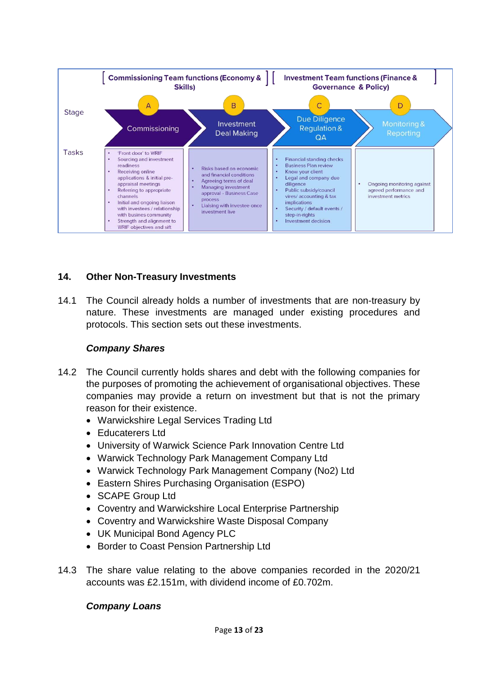

### **14. Other Non-Treasury Investments**

14.1 The Council already holds a number of investments that are non-treasury by nature. These investments are managed under existing procedures and protocols. This section sets out these investments.

#### *Company Shares*

- 14.2 The Council currently holds shares and debt with the following companies for the purposes of promoting the achievement of organisational objectives. These companies may provide a return on investment but that is not the primary reason for their existence.
	- Warwickshire Legal Services Trading Ltd
	- Educaterers Ltd
	- University of Warwick Science Park Innovation Centre Ltd
	- Warwick Technology Park Management Company Ltd
	- Warwick Technology Park Management Company (No2) Ltd
	- Eastern Shires Purchasing Organisation (ESPO)
	- SCAPE Group Ltd
	- Coventry and Warwickshire Local Enterprise Partnership
	- Coventry and Warwickshire Waste Disposal Company
	- UK Municipal Bond Agency PLC
	- Border to Coast Pension Partnership Ltd
- 14.3 The share value relating to the above companies recorded in the 2020/21 accounts was £2.151m, with dividend income of £0.702m.

### *Company Loans*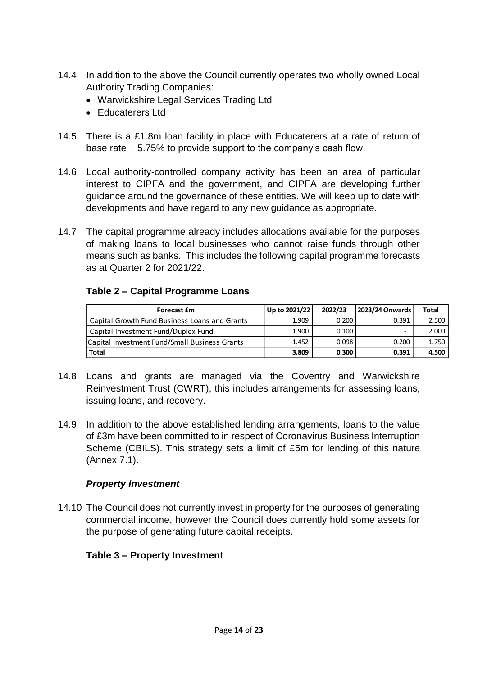- 14.4 In addition to the above the Council currently operates two wholly owned Local Authority Trading Companies:
	- Warwickshire Legal Services Trading Ltd
	- Educaterers Ltd
- 14.5 There is a £1.8m loan facility in place with Educaterers at a rate of return of base rate + 5.75% to provide support to the company's cash flow.
- 14.6 Local authority-controlled company activity has been an area of particular interest to CIPFA and the government, and CIPFA are developing further guidance around the governance of these entities. We will keep up to date with developments and have regard to any new guidance as appropriate.
- 14.7 The capital programme already includes allocations available for the purposes of making loans to local businesses who cannot raise funds through other means such as banks. This includes the following capital programme forecasts as at Quarter 2 for 2021/22.

### **Table 2 – Capital Programme Loans**

| <b>Forecast Em</b>                            | Up to 2021/22 | 2022/23 | 2023/24 Onwards | <b>Total</b> |
|-----------------------------------------------|---------------|---------|-----------------|--------------|
| Capital Growth Fund Business Loans and Grants | 1.909         | 0.200   | 0.391           | 2.500        |
| Capital Investment Fund/Duplex Fund           | 1.900         | 0.100   |                 | 2.000        |
| Capital Investment Fund/Small Business Grants | 1.452         | 0.098   | 0.200           | 1.750        |
| <b>Total</b>                                  | 3.809         | 0.300   | 0.391           | 4.500        |

- 14.8 Loans and grants are managed via the Coventry and Warwickshire Reinvestment Trust (CWRT), this includes arrangements for assessing loans, issuing loans, and recovery.
- 14.9 In addition to the above established lending arrangements, loans to the value of £3m have been committed to in respect of Coronavirus Business Interruption Scheme (CBILS). This strategy sets a limit of £5m for lending of this nature (Annex 7.1).

#### *Property Investment*

14.10 The Council does not currently invest in property for the purposes of generating commercial income, however the Council does currently hold some assets for the purpose of generating future capital receipts.

### **Table 3 – Property Investment**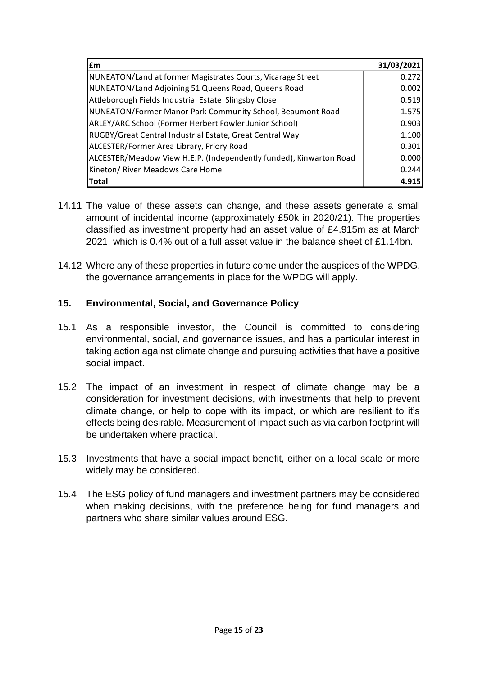| £m                                                                 | 31/03/2021 |
|--------------------------------------------------------------------|------------|
| NUNEATON/Land at former Magistrates Courts, Vicarage Street        | 0.272      |
| NUNEATON/Land Adjoining 51 Queens Road, Queens Road                | 0.002      |
| Attleborough Fields Industrial Estate Slingsby Close               | 0.519      |
| NUNEATON/Former Manor Park Community School, Beaumont Road         | 1.575      |
| ARLEY/ARC School (Former Herbert Fowler Junior School)             | 0.903      |
| RUGBY/Great Central Industrial Estate, Great Central Way           | 1.100      |
| ALCESTER/Former Area Library, Priory Road                          | 0.301      |
| ALCESTER/Meadow View H.E.P. (Independently funded), Kinwarton Road | 0.000      |
| Kineton/ River Meadows Care Home                                   | 0.244      |
| <b>Total</b>                                                       | 4.915      |

- 14.11 The value of these assets can change, and these assets generate a small amount of incidental income (approximately £50k in 2020/21). The properties classified as investment property had an asset value of £4.915m as at March 2021, which is 0.4% out of a full asset value in the balance sheet of £1.14bn.
- 14.12 Where any of these properties in future come under the auspices of the WPDG, the governance arrangements in place for the WPDG will apply.

### **15. Environmental, Social, and Governance Policy**

- 15.1 As a responsible investor, the Council is committed to considering environmental, social, and governance issues, and has a particular interest in taking action against climate change and pursuing activities that have a positive social impact.
- 15.2 The impact of an investment in respect of climate change may be a consideration for investment decisions, with investments that help to prevent climate change, or help to cope with its impact, or which are resilient to it's effects being desirable. Measurement of impact such as via carbon footprint will be undertaken where practical.
- 15.3 Investments that have a social impact benefit, either on a local scale or more widely may be considered.
- 15.4 The ESG policy of fund managers and investment partners may be considered when making decisions, with the preference being for fund managers and partners who share similar values around ESG.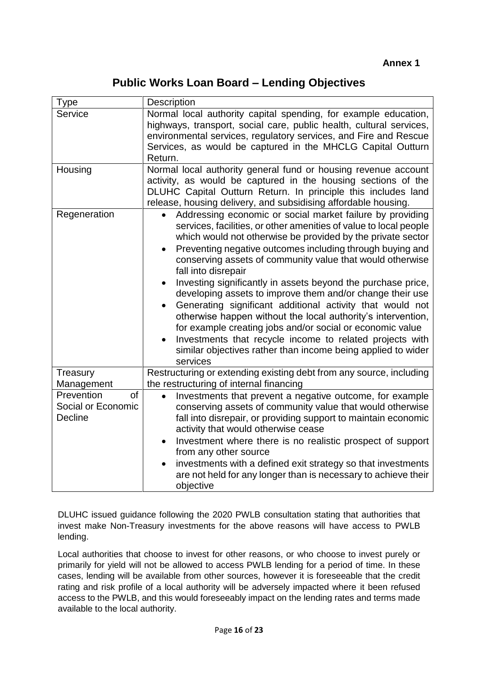**Public Works Loan Board – Lending Objectives**

| <b>Type</b>                                       | <b>Description</b>                                                                                                                                                                                                                                                                                                                                                                                                                                                                                                                                                                                                                                                                                                                                                                                                                                   |
|---------------------------------------------------|------------------------------------------------------------------------------------------------------------------------------------------------------------------------------------------------------------------------------------------------------------------------------------------------------------------------------------------------------------------------------------------------------------------------------------------------------------------------------------------------------------------------------------------------------------------------------------------------------------------------------------------------------------------------------------------------------------------------------------------------------------------------------------------------------------------------------------------------------|
| Service                                           | Normal local authority capital spending, for example education,<br>highways, transport, social care, public health, cultural services,<br>environmental services, regulatory services, and Fire and Rescue<br>Services, as would be captured in the MHCLG Capital Outturn<br>Return.                                                                                                                                                                                                                                                                                                                                                                                                                                                                                                                                                                 |
| Housing                                           | Normal local authority general fund or housing revenue account<br>activity, as would be captured in the housing sections of the<br>DLUHC Capital Outturn Return. In principle this includes land<br>release, housing delivery, and subsidising affordable housing.                                                                                                                                                                                                                                                                                                                                                                                                                                                                                                                                                                                   |
| Regeneration                                      | Addressing economic or social market failure by providing<br>$\bullet$<br>services, facilities, or other amenities of value to local people<br>which would not otherwise be provided by the private sector<br>Preventing negative outcomes including through buying and<br>conserving assets of community value that would otherwise<br>fall into disrepair<br>Investing significantly in assets beyond the purchase price,<br>$\bullet$<br>developing assets to improve them and/or change their use<br>Generating significant additional activity that would not<br>$\bullet$<br>otherwise happen without the local authority's intervention,<br>for example creating jobs and/or social or economic value<br>Investments that recycle income to related projects with<br>similar objectives rather than income being applied to wider<br>services |
| Treasury<br>Management                            | Restructuring or extending existing debt from any source, including<br>the restructuring of internal financing                                                                                                                                                                                                                                                                                                                                                                                                                                                                                                                                                                                                                                                                                                                                       |
| Prevention<br>of<br>Social or Economic<br>Decline | Investments that prevent a negative outcome, for example<br>conserving assets of community value that would otherwise<br>fall into disrepair, or providing support to maintain economic<br>activity that would otherwise cease<br>Investment where there is no realistic prospect of support<br>$\bullet$<br>from any other source<br>investments with a defined exit strategy so that investments<br>are not held for any longer than is necessary to achieve their<br>objective                                                                                                                                                                                                                                                                                                                                                                    |

DLUHC issued guidance following the 2020 PWLB consultation stating that authorities that invest make Non-Treasury investments for the above reasons will have access to PWLB lending.

Local authorities that choose to invest for other reasons, or who choose to invest purely or primarily for yield will not be allowed to access PWLB lending for a period of time. In these cases, lending will be available from other sources, however it is foreseeable that the credit rating and risk profile of a local authority will be adversely impacted where it been refused access to the PWLB, and this would foreseeably impact on the lending rates and terms made available to the local authority.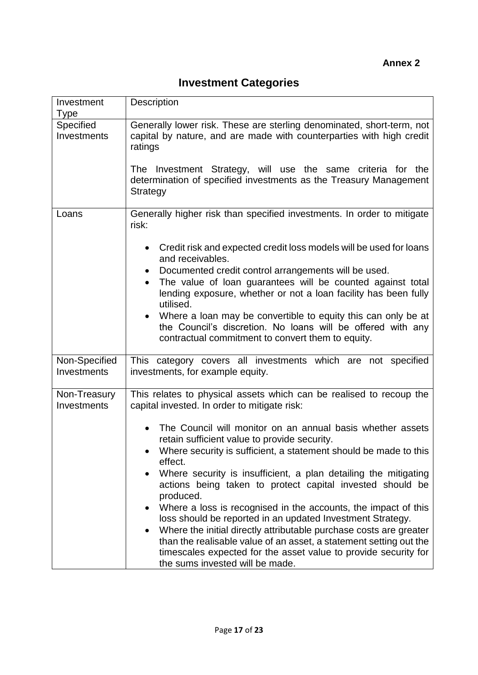| Investment<br>Type           | <b>Description</b>                                                                                                                                                                                                                                                                                                                                                                                                                                                                                                                                                                                                                                                                                                                                                                                                                                                             |
|------------------------------|--------------------------------------------------------------------------------------------------------------------------------------------------------------------------------------------------------------------------------------------------------------------------------------------------------------------------------------------------------------------------------------------------------------------------------------------------------------------------------------------------------------------------------------------------------------------------------------------------------------------------------------------------------------------------------------------------------------------------------------------------------------------------------------------------------------------------------------------------------------------------------|
| Specified<br>Investments     | Generally lower risk. These are sterling denominated, short-term, not<br>capital by nature, and are made with counterparties with high credit<br>ratings<br>The Investment Strategy, will use the same criteria for the<br>determination of specified investments as the Treasury Management<br>Strategy                                                                                                                                                                                                                                                                                                                                                                                                                                                                                                                                                                       |
| Loans                        | Generally higher risk than specified investments. In order to mitigate<br>risk:<br>Credit risk and expected credit loss models will be used for loans<br>٠<br>and receivables.<br>Documented credit control arrangements will be used.<br>The value of loan guarantees will be counted against total<br>$\bullet$<br>lending exposure, whether or not a loan facility has been fully<br>utilised.<br>Where a loan may be convertible to equity this can only be at<br>$\bullet$<br>the Council's discretion. No loans will be offered with any<br>contractual commitment to convert them to equity.                                                                                                                                                                                                                                                                            |
| Non-Specified<br>Investments | This category covers all investments which are not specified<br>investments, for example equity.                                                                                                                                                                                                                                                                                                                                                                                                                                                                                                                                                                                                                                                                                                                                                                               |
| Non-Treasury<br>Investments  | This relates to physical assets which can be realised to recoup the<br>capital invested. In order to mitigate risk:<br>The Council will monitor on an annual basis whether assets<br>$\bullet$<br>retain sufficient value to provide security.<br>Where security is sufficient, a statement should be made to this<br>$\bullet$<br>effect.<br>Where security is insufficient, a plan detailing the mitigating<br>actions being taken to protect capital invested should be<br>produced.<br>Where a loss is recognised in the accounts, the impact of this<br>٠<br>loss should be reported in an updated Investment Strategy.<br>Where the initial directly attributable purchase costs are greater<br>than the realisable value of an asset, a statement setting out the<br>timescales expected for the asset value to provide security for<br>the sums invested will be made. |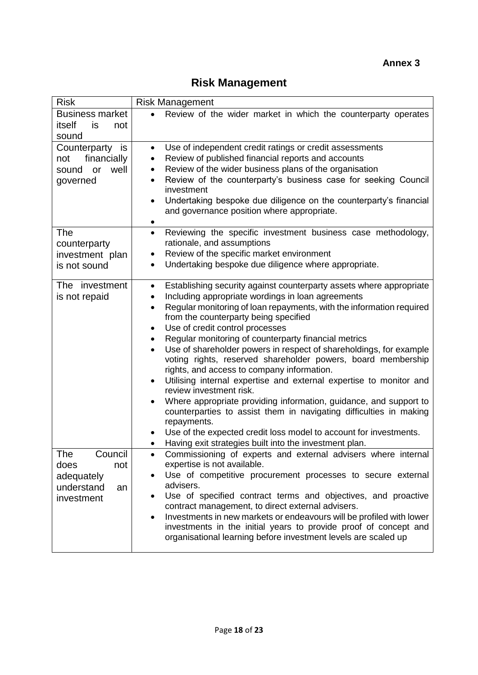## **Risk Management**

| <b>Risk</b>                                                                   | <b>Risk Management</b>                                                                                                                                                                                                                                                                                                                                                                                                                                                                                                                                                                                                                                                                                                                                                                                                                                                                                                                                                                        |
|-------------------------------------------------------------------------------|-----------------------------------------------------------------------------------------------------------------------------------------------------------------------------------------------------------------------------------------------------------------------------------------------------------------------------------------------------------------------------------------------------------------------------------------------------------------------------------------------------------------------------------------------------------------------------------------------------------------------------------------------------------------------------------------------------------------------------------------------------------------------------------------------------------------------------------------------------------------------------------------------------------------------------------------------------------------------------------------------|
| <b>Business market</b><br>itself<br>is<br>not<br>sound                        | Review of the wider market in which the counterparty operates                                                                                                                                                                                                                                                                                                                                                                                                                                                                                                                                                                                                                                                                                                                                                                                                                                                                                                                                 |
| Counterparty is<br>financially<br>not<br>well<br>or<br>sound<br>governed      | Use of independent credit ratings or credit assessments<br>$\bullet$<br>Review of published financial reports and accounts<br>٠<br>Review of the wider business plans of the organisation<br>٠<br>Review of the counterparty's business case for seeking Council<br>investment<br>Undertaking bespoke due diligence on the counterparty's financial<br>$\bullet$<br>and governance position where appropriate.                                                                                                                                                                                                                                                                                                                                                                                                                                                                                                                                                                                |
| The<br>counterparty<br>investment plan<br>is not sound                        | Reviewing the specific investment business case methodology,<br>$\bullet$<br>rationale, and assumptions<br>Review of the specific market environment<br>٠<br>Undertaking bespoke due diligence where appropriate.                                                                                                                                                                                                                                                                                                                                                                                                                                                                                                                                                                                                                                                                                                                                                                             |
| The investment<br>is not repaid                                               | Establishing security against counterparty assets where appropriate<br>$\bullet$<br>Including appropriate wordings in loan agreements<br>$\bullet$<br>Regular monitoring of loan repayments, with the information required<br>$\bullet$<br>from the counterparty being specified<br>Use of credit control processes<br>$\bullet$<br>Regular monitoring of counterparty financial metrics<br>٠<br>Use of shareholder powers in respect of shareholdings, for example<br>voting rights, reserved shareholder powers, board membership<br>rights, and access to company information.<br>Utilising internal expertise and external expertise to monitor and<br>٠<br>review investment risk.<br>Where appropriate providing information, guidance, and support to<br>$\bullet$<br>counterparties to assist them in navigating difficulties in making<br>repayments.<br>Use of the expected credit loss model to account for investments.<br>Having exit strategies built into the investment plan. |
| Council<br>The<br>does<br>not<br>adequately<br>understand<br>an<br>investment | Commissioning of experts and external advisers where internal<br>expertise is not available.<br>Use of competitive procurement processes to secure external<br>advisers.<br>Use of specified contract terms and objectives, and proactive<br>contract management, to direct external advisers.<br>Investments in new markets or endeavours will be profiled with lower<br>$\bullet$<br>investments in the initial years to provide proof of concept and<br>organisational learning before investment levels are scaled up                                                                                                                                                                                                                                                                                                                                                                                                                                                                     |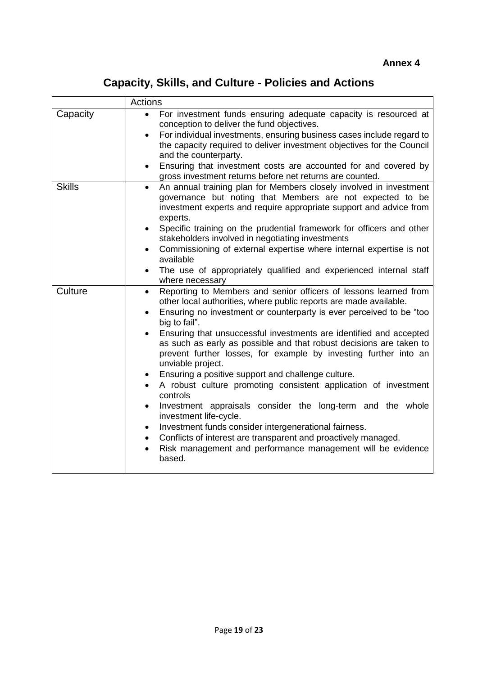## **Capacity, Skills, and Culture - Policies and Actions**

|               | <b>Actions</b>                                                                                                                                                                                                                                                                                                                                                                                                                                                                                                                                                                                                                                                                                                                                                                                                                                                                                                                                                                     |  |  |  |  |  |
|---------------|------------------------------------------------------------------------------------------------------------------------------------------------------------------------------------------------------------------------------------------------------------------------------------------------------------------------------------------------------------------------------------------------------------------------------------------------------------------------------------------------------------------------------------------------------------------------------------------------------------------------------------------------------------------------------------------------------------------------------------------------------------------------------------------------------------------------------------------------------------------------------------------------------------------------------------------------------------------------------------|--|--|--|--|--|
| Capacity      | For investment funds ensuring adequate capacity is resourced at<br>$\bullet$<br>conception to deliver the fund objectives.<br>For individual investments, ensuring business cases include regard to<br>$\bullet$<br>the capacity required to deliver investment objectives for the Council<br>and the counterparty.<br>Ensuring that investment costs are accounted for and covered by<br>$\bullet$<br>gross investment returns before net returns are counted.                                                                                                                                                                                                                                                                                                                                                                                                                                                                                                                    |  |  |  |  |  |
| <b>Skills</b> | An annual training plan for Members closely involved in investment<br>$\bullet$<br>governance but noting that Members are not expected to be<br>investment experts and require appropriate support and advice from<br>experts.<br>Specific training on the prudential framework for officers and other<br>$\bullet$<br>stakeholders involved in negotiating investments<br>Commissioning of external expertise where internal expertise is not<br>$\bullet$<br>available<br>The use of appropriately qualified and experienced internal staff<br>$\bullet$<br>where necessary                                                                                                                                                                                                                                                                                                                                                                                                      |  |  |  |  |  |
| Culture       | Reporting to Members and senior officers of lessons learned from<br>$\bullet$<br>other local authorities, where public reports are made available.<br>Ensuring no investment or counterparty is ever perceived to be "too<br>$\bullet$<br>big to fail".<br>Ensuring that unsuccessful investments are identified and accepted<br>as such as early as possible and that robust decisions are taken to<br>prevent further losses, for example by investing further into an<br>unviable project.<br>Ensuring a positive support and challenge culture.<br>$\bullet$<br>A robust culture promoting consistent application of investment<br>controls<br>Investment appraisals consider the long-term and the whole<br>$\bullet$<br>investment life-cycle.<br>Investment funds consider intergenerational fairness.<br>Conflicts of interest are transparent and proactively managed.<br>$\bullet$<br>Risk management and performance management will be evidence<br>$\bullet$<br>based. |  |  |  |  |  |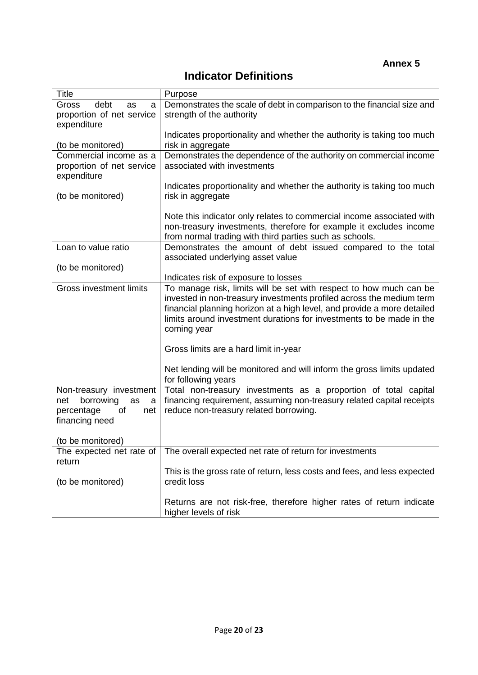**Annex 5**

## **Indicator Definitions**

| Title                                     | Purpose                                                                                                                                    |
|-------------------------------------------|--------------------------------------------------------------------------------------------------------------------------------------------|
| debt<br><b>Gross</b><br>as<br>a           | Demonstrates the scale of debt in comparison to the financial size and                                                                     |
| proportion of net service                 | strength of the authority                                                                                                                  |
| expenditure                               |                                                                                                                                            |
|                                           | Indicates proportionality and whether the authority is taking too much                                                                     |
| (to be monitored)                         | risk in aggregate                                                                                                                          |
| Commercial income as a                    | Demonstrates the dependence of the authority on commercial income                                                                          |
| proportion of net service<br>expenditure  | associated with investments                                                                                                                |
|                                           | Indicates proportionality and whether the authority is taking too much                                                                     |
| (to be monitored)                         | risk in aggregate                                                                                                                          |
|                                           |                                                                                                                                            |
|                                           | Note this indicator only relates to commercial income associated with                                                                      |
|                                           | non-treasury investments, therefore for example it excludes income                                                                         |
|                                           | from normal trading with third parties such as schools.                                                                                    |
| Loan to value ratio                       | Demonstrates the amount of debt issued compared to the total                                                                               |
|                                           | associated underlying asset value                                                                                                          |
| (to be monitored)                         |                                                                                                                                            |
|                                           | Indicates risk of exposure to losses                                                                                                       |
| <b>Gross investment limits</b>            | To manage risk, limits will be set with respect to how much can be<br>invested in non-treasury investments profiled across the medium term |
|                                           | financial planning horizon at a high level, and provide a more detailed                                                                    |
|                                           | limits around investment durations for investments to be made in the                                                                       |
|                                           | coming year                                                                                                                                |
|                                           |                                                                                                                                            |
|                                           | Gross limits are a hard limit in-year                                                                                                      |
|                                           |                                                                                                                                            |
|                                           | Net lending will be monitored and will inform the gross limits updated                                                                     |
|                                           | for following years                                                                                                                        |
| Non-treasury investment                   | Total non-treasury investments as a proportion of total capital                                                                            |
| borrowing<br>net<br>as<br>a               | financing requirement, assuming non-treasury related capital receipts                                                                      |
| percentage<br>of<br>net<br>financing need | reduce non-treasury related borrowing.                                                                                                     |
|                                           |                                                                                                                                            |
| (to be monitored)                         |                                                                                                                                            |
| The expected net rate of                  | The overall expected net rate of return for investments                                                                                    |
| return                                    |                                                                                                                                            |
|                                           | This is the gross rate of return, less costs and fees, and less expected                                                                   |
| (to be monitored)                         | credit loss                                                                                                                                |
|                                           |                                                                                                                                            |
|                                           | Returns are not risk-free, therefore higher rates of return indicate                                                                       |
|                                           | higher levels of risk                                                                                                                      |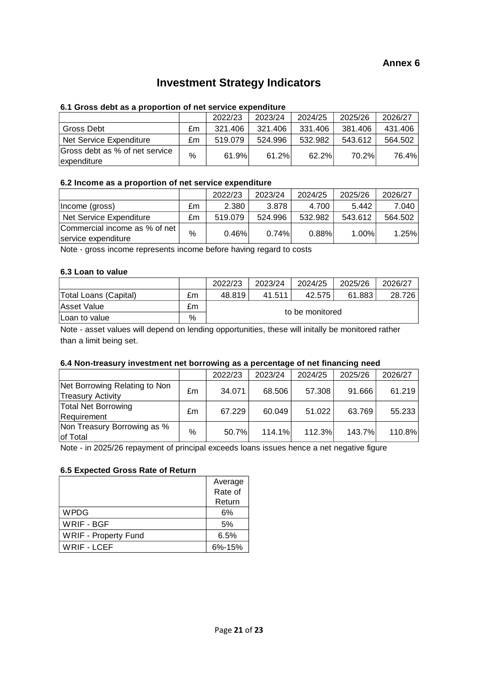## **Investment Strategy Indicators**

#### **6.1 Gross debt as a proportion of net service expenditure**

|                                               |      | 2022/23 | 2023/24 | 2024/25 | 2025/26 | 2026/27 |
|-----------------------------------------------|------|---------|---------|---------|---------|---------|
| Gross Debt                                    | £m   | 321.406 | 321.406 | 331.406 | 381.406 | 431.406 |
| Net Service Expenditure                       | £m   | 519.079 | 524.996 | 532.982 | 543.612 | 564.502 |
| Gross debt as % of net service<br>expenditure | $\%$ | 61.9%   | 61.2%   | 62.2%   | 70.2%   | 76.4%   |

#### **6.2 Income as a proportion of net service expenditure**

|                                                      |    | 2022/23  | 2023/24 | 2024/25 | 2025/26 | 2026/27 |
|------------------------------------------------------|----|----------|---------|---------|---------|---------|
| Income (gross)                                       | £m | 2.380    | 3.878   | 4.700   | 5.442   | 7.040   |
| Net Service Expenditure                              | £m | 519.079  | 524.996 | 532.982 | 543.612 | 564.502 |
| Commercial income as % of net<br>service expenditure | %  | $0.46\%$ | 0.74%   | 0.88%   | 1.00%   | 1.25%   |

Note - gross income represents income before having regard to costs

#### **6.3 Loan to value**

|                       |    | 2022/23         | 2023/24 | 2024/25 | 2025/26 | 2026/27 |
|-----------------------|----|-----------------|---------|---------|---------|---------|
| Total Loans (Capital) | £m | 48.819          | 41.511  | 42.575  | 61.883  | 28.726  |
| <b>Asset Value</b>    | £m |                 |         |         |         |         |
| Loan to value         | %  | to be monitored |         |         |         |         |

Note - asset values will depend on lending opportunities, these will initally be monitored rather than a limit being set.

#### **6.4 Non-treasury investment net borrowing as a percentage of net financing need**

|                                                           |      | 2022/23 | 2023/24 | 2024/25 | 2025/26 | 2026/27 |
|-----------------------------------------------------------|------|---------|---------|---------|---------|---------|
| Net Borrowing Relating to Non<br><b>Treasury Activity</b> | £m   | 34.071  | 68.506  | 57.308  | 91.666  | 61.219  |
| <b>Total Net Borrowing</b><br>Requirement                 | £m   | 67.229  | 60.049  | 51.022  | 63.769  | 55.233  |
| Non Treasury Borrowing as %<br>of Total                   | $\%$ | 50.7%   | 114.1%  | 112.3%  | 143.7%  | 110.8%  |

Note - in 2025/26 repayment of principal exceeds loans issues hence a net negative figure

#### **6.5 Expected Gross Rate of Return**

|                             | Average      |
|-----------------------------|--------------|
|                             | Rate of      |
|                             | Return       |
| <b>WPDG</b>                 | 6%           |
| <b>WRIF - BGF</b>           | 5%           |
| <b>WRIF - Property Fund</b> | 6.5%         |
| <b>WRIF - LCEF</b>          | $6\% - 15\%$ |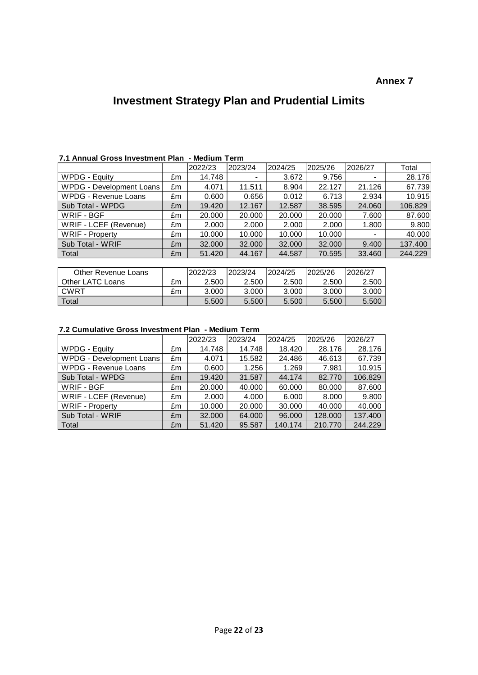#### **Annex 7**

## **Investment Strategy Plan and Prudential Limits**

|                          |    | 2022/23 | 2023/24 | 2024/25 | 2025/26 | 2026/27                  | Total   |  |  |
|--------------------------|----|---------|---------|---------|---------|--------------------------|---------|--|--|
| WPDG - Equity            | £m | 14.748  |         | 3.672   | 9.756   | $\overline{\phantom{a}}$ | 28.176  |  |  |
| WPDG - Development Loans | £m | 4.071   | 11.511  | 8.904   | 22.127  | 21.126                   | 67.739  |  |  |
| WPDG - Revenue Loans     | £m | 0.600   | 0.656   | 0.012   | 6.713   | 2.934                    | 10.915  |  |  |
| Sub Total - WPDG         | £m | 19.420  | 12.167  | 12.587  | 38.595  | 24.060                   | 106.829 |  |  |
| WRIF - BGF               | £m | 20,000  | 20,000  | 20,000  | 20,000  | 7.600                    | 87.600  |  |  |
| WRIF - LCEF (Revenue)    | £m | 2.000   | 2.000   | 2.000   | 2.000   | 1.800                    | 9.800   |  |  |
| <b>WRIF</b> - Property   | £m | 10.000  | 10.000  | 10.000  | 10.000  | $\blacksquare$           | 40.000  |  |  |
| Sub Total - WRIF         | £m | 32.000  | 32.000  | 32.000  | 32,000  | 9.400                    | 137.400 |  |  |
| Total                    | Em | 51.420  | 44.167  | 44.587  | 70.595  | 33.460                   | 244.229 |  |  |

#### **7.1 Annual Gross Investment Plan - Medium Term**

| Other Revenue Loans |    | 2022/23 | 2023/24 | 2024/25 | 2025/26 | 2026/27 |
|---------------------|----|---------|---------|---------|---------|---------|
| Other LATC Loans    | £m | 2.500   | 2.500   | 2.500   | 2.500   | 2.500   |
| CWRT                | £m | 3.000   | 3.000   | 3.000   | 3.000   | 3.000   |
| Total               |    | 5.500   | 5.500   | 5.500   | 5.500   | 5.500   |

#### **7.2 Cumulative Gross Investment Plan - Medium Term**

|                          |    | 2022/23 | 2023/24 | 2024/25 | 2025/26 | 2026/27 |
|--------------------------|----|---------|---------|---------|---------|---------|
| WPDG - Equity            | £m | 14.748  | 14.748  | 18.420  | 28.176  | 28.176  |
| WPDG - Development Loans | £m | 4.071   | 15.582  | 24.486  | 46.613  | 67.739  |
| WPDG - Revenue Loans     | £m | 0.600   | 1.256   | 1.269   | 7.981   | 10.915  |
| Sub Total - WPDG         | £m | 19.420  | 31.587  | 44.174  | 82.770  | 106.829 |
| WRIF - BGF               | £m | 20,000  | 40.000  | 60.000  | 80,000  | 87.600  |
| WRIF - LCEF (Revenue)    | £m | 2.000   | 4.000   | 6.000   | 8.000   | 9.800   |
| <b>WRIF</b> - Property   | £m | 10.000  | 20,000  | 30.000  | 40.000  | 40.000  |
| Sub Total - WRIF         | £m | 32,000  | 64.000  | 96,000  | 128,000 | 137.400 |
| Total                    | £m | 51.420  | 95.587  | 140.174 | 210.770 | 244.229 |